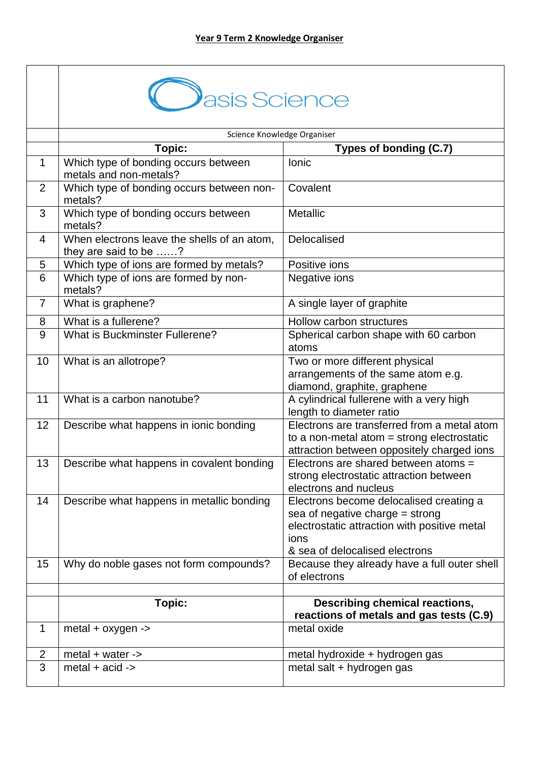|                | asis Science                                                         |                                                                                                                                                                        |
|----------------|----------------------------------------------------------------------|------------------------------------------------------------------------------------------------------------------------------------------------------------------------|
|                |                                                                      | Science Knowledge Organiser                                                                                                                                            |
|                | Topic:                                                               | Types of bonding (C.7)                                                                                                                                                 |
| $\mathbf 1$    | Which type of bonding occurs between<br>metals and non-metals?       | lonic                                                                                                                                                                  |
| $\overline{2}$ | Which type of bonding occurs between non-<br>metals?                 | Covalent                                                                                                                                                               |
| 3              | Which type of bonding occurs between<br>metals?                      | <b>Metallic</b>                                                                                                                                                        |
| 4              | When electrons leave the shells of an atom,<br>they are said to be ? | Delocalised                                                                                                                                                            |
| 5              | Which type of ions are formed by metals?                             | Positive ions                                                                                                                                                          |
| 6              | Which type of ions are formed by non-<br>metals?                     | Negative ions                                                                                                                                                          |
| $\overline{7}$ | What is graphene?                                                    | A single layer of graphite                                                                                                                                             |
| 8              | What is a fullerene?                                                 | Hollow carbon structures                                                                                                                                               |
| 9              | <b>What is Buckminster Fullerene?</b>                                | Spherical carbon shape with 60 carbon<br>atoms                                                                                                                         |
| 10             | What is an allotrope?                                                | Two or more different physical<br>arrangements of the same atom e.g.<br>diamond, graphite, graphene                                                                    |
| 11             | What is a carbon nanotube?                                           | A cylindrical fullerene with a very high<br>length to diameter ratio                                                                                                   |
| 12             | Describe what happens in ionic bonding                               | Electrons are transferred from a metal atom<br>to a non-metal atom $=$ strong electrostatic<br>attraction between oppositely charged ions                              |
| 13             | Describe what happens in covalent bonding                            | Electrons are shared between atoms =<br>strong electrostatic attraction between<br>electrons and nucleus                                                               |
| 14             | Describe what happens in metallic bonding                            | Electrons become delocalised creating a<br>sea of negative charge $=$ strong<br>electrostatic attraction with positive metal<br>ions<br>& sea of delocalised electrons |
| 15             | Why do noble gases not form compounds?                               | Because they already have a full outer shell<br>of electrons                                                                                                           |
|                |                                                                      |                                                                                                                                                                        |
|                | Topic:                                                               | Describing chemical reactions,<br>reactions of metals and gas tests (C.9)                                                                                              |
| $\mathbf 1$    | $metal + oxygen \rightarrow$                                         | metal oxide                                                                                                                                                            |
| 2              | metal $+$ water $-$                                                  | metal hydroxide + hydrogen gas                                                                                                                                         |
| 3              | metal $+$ acid $-$                                                   | metal salt + hydrogen gas                                                                                                                                              |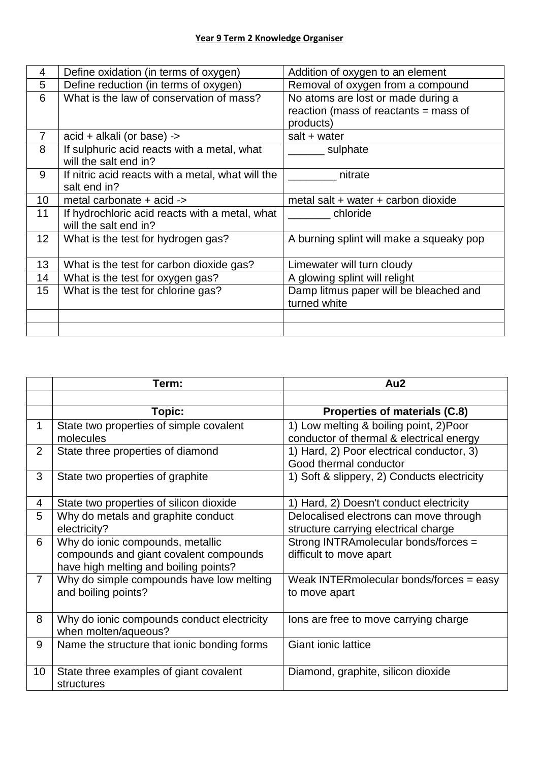| 4               | Define oxidation (in terms of oxygen)             | Addition of oxygen to an element         |
|-----------------|---------------------------------------------------|------------------------------------------|
| 5               | Define reduction (in terms of oxygen)             | Removal of oxygen from a compound        |
| 6               | What is the law of conservation of mass?          | No atoms are lost or made during a       |
|                 |                                                   | reaction (mass of reactants = mass of    |
|                 |                                                   | products)                                |
| $\overline{7}$  | acid + alkali (or base) ->                        | salt $+$ water                           |
| 8               | If sulphuric acid reacts with a metal, what       | sulphate                                 |
|                 | will the salt end in?                             |                                          |
| 9               | If nitric acid reacts with a metal, what will the | nitrate                                  |
|                 | salt end in?                                      |                                          |
| 10              | metal carbonate + acid ->                         | metal salt + water + carbon dioxide      |
| 11              | If hydrochloric acid reacts with a metal, what    | chloride                                 |
|                 | will the salt end in?                             |                                          |
| 12 <sub>2</sub> | What is the test for hydrogen gas?                | A burning splint will make a squeaky pop |
|                 |                                                   |                                          |
| 13              | What is the test for carbon dioxide gas?          | Limewater will turn cloudy               |
| 14              | What is the test for oxygen gas?                  | A glowing splint will relight            |
| 15              | What is the test for chlorine gas?                | Damp litmus paper will be bleached and   |
|                 |                                                   | turned white                             |
|                 |                                                   |                                          |
|                 |                                                   |                                          |

|                | Term:                                       | Au2                                         |
|----------------|---------------------------------------------|---------------------------------------------|
|                |                                             |                                             |
|                | Topic:                                      | Properties of materials (C.8)               |
| 1              | State two properties of simple covalent     | 1) Low melting & boiling point, 2) Poor     |
|                | molecules                                   | conductor of thermal & electrical energy    |
| 2              | State three properties of diamond           | 1) Hard, 2) Poor electrical conductor, 3)   |
|                |                                             | Good thermal conductor                      |
| 3              | State two properties of graphite            | 1) Soft & slippery, 2) Conducts electricity |
|                |                                             |                                             |
| 4              | State two properties of silicon dioxide     | 1) Hard, 2) Doesn't conduct electricity     |
| 5              | Why do metals and graphite conduct          | Delocalised electrons can move through      |
|                | electricity?                                | structure carrying electrical charge        |
| 6              | Why do ionic compounds, metallic            | Strong INTRAmolecular bonds/forces =        |
|                | compounds and giant covalent compounds      | difficult to move apart                     |
|                | have high melting and boiling points?       |                                             |
| $\overline{7}$ | Why do simple compounds have low melting    | Weak INTERmolecular bonds/forces = easy     |
|                | and boiling points?                         | to move apart                               |
|                |                                             |                                             |
| 8              | Why do ionic compounds conduct electricity  | lons are free to move carrying charge       |
|                | when molten/aqueous?                        |                                             |
| 9              | Name the structure that ionic bonding forms | <b>Giant ionic lattice</b>                  |
|                |                                             |                                             |
| 10             | State three examples of giant covalent      | Diamond, graphite, silicon dioxide          |
|                | structures                                  |                                             |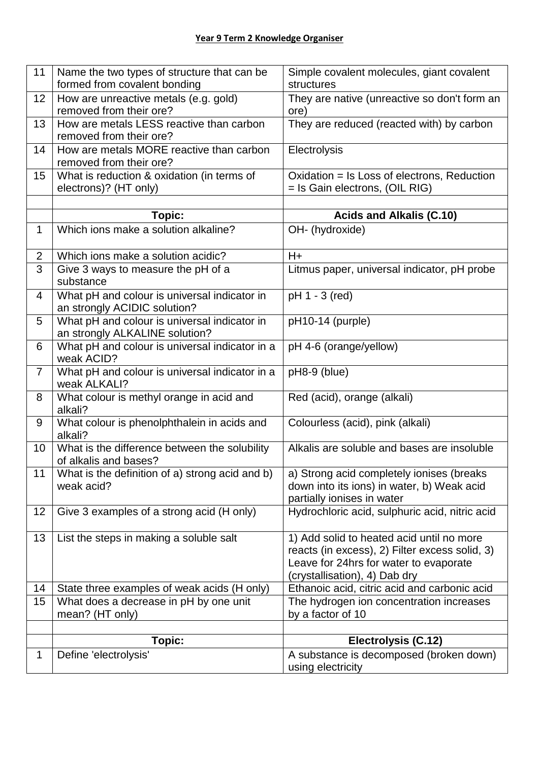| 11             | Name the two types of structure that can be         | Simple covalent molecules, giant covalent                    |
|----------------|-----------------------------------------------------|--------------------------------------------------------------|
|                | formed from covalent bonding                        | structures                                                   |
| 12             | How are unreactive metals (e.g. gold)               | They are native (unreactive so don't form an                 |
|                | removed from their ore?                             | ore)                                                         |
| 13             | How are metals LESS reactive than carbon            | They are reduced (reacted with) by carbon                    |
|                | removed from their ore?                             |                                                              |
| 14             | How are metals MORE reactive than carbon            | Electrolysis                                                 |
|                | removed from their ore?                             |                                                              |
| 15             | What is reduction & oxidation (in terms of          | Oxidation = Is Loss of electrons, Reduction                  |
|                | electrons)? (HT only)                               | = Is Gain electrons, (OIL RIG)                               |
|                |                                                     |                                                              |
|                | Topic:                                              | <b>Acids and Alkalis (C.10)</b>                              |
| 1              | Which ions make a solution alkaline?                | OH- (hydroxide)                                              |
| $\overline{2}$ | Which ions make a solution acidic?                  | $H +$                                                        |
| 3              | Give 3 ways to measure the pH of a                  | Litmus paper, universal indicator, pH probe                  |
|                | substance                                           |                                                              |
| 4              | What pH and colour is universal indicator in        | pH 1 - 3 (red)                                               |
|                | an strongly ACIDIC solution?                        |                                                              |
| 5              | What pH and colour is universal indicator in        | pH10-14 (purple)                                             |
|                | an strongly ALKALINE solution?                      |                                                              |
| 6              | What pH and colour is universal indicator in a      | pH 4-6 (orange/yellow)                                       |
|                | weak ACID?                                          |                                                              |
| $\overline{7}$ | What pH and colour is universal indicator in a      | pH8-9 (blue)                                                 |
|                | weak ALKALI?                                        |                                                              |
| 8              | What colour is methyl orange in acid and<br>alkali? | Red (acid), orange (alkali)                                  |
| 9              | What colour is phenolphthalein in acids and         | Colourless (acid), pink (alkali)                             |
|                | alkali?                                             |                                                              |
| 10             | What is the difference between the solubility       | Alkalis are soluble and bases are insoluble                  |
|                | of alkalis and bases?                               |                                                              |
| 11             | What is the definition of a) strong acid and b)     | a) Strong acid completely ionises (breaks                    |
|                | weak acid?                                          | down into its ions) in water, b) Weak acid                   |
|                |                                                     | partially ionises in water                                   |
| 12             | Give 3 examples of a strong acid (H only)           | Hydrochloric acid, sulphuric acid, nitric acid               |
|                |                                                     |                                                              |
| 13             | List the steps in making a soluble salt             | 1) Add solid to heated acid until no more                    |
|                |                                                     | reacts (in excess), 2) Filter excess solid, 3)               |
|                |                                                     | Leave for 24hrs for water to evaporate                       |
|                |                                                     | (crystallisation), 4) Dab dry                                |
| 14             | State three examples of weak acids (H only)         | Ethanoic acid, citric acid and carbonic acid                 |
| 15             | What does a decrease in pH by one unit              | The hydrogen ion concentration increases                     |
|                | mean? (HT only)                                     | by a factor of 10                                            |
|                | Topic:                                              | Electrolysis (C.12)                                          |
|                |                                                     |                                                              |
| 1              | Define 'electrolysis'                               | A substance is decomposed (broken down)<br>using electricity |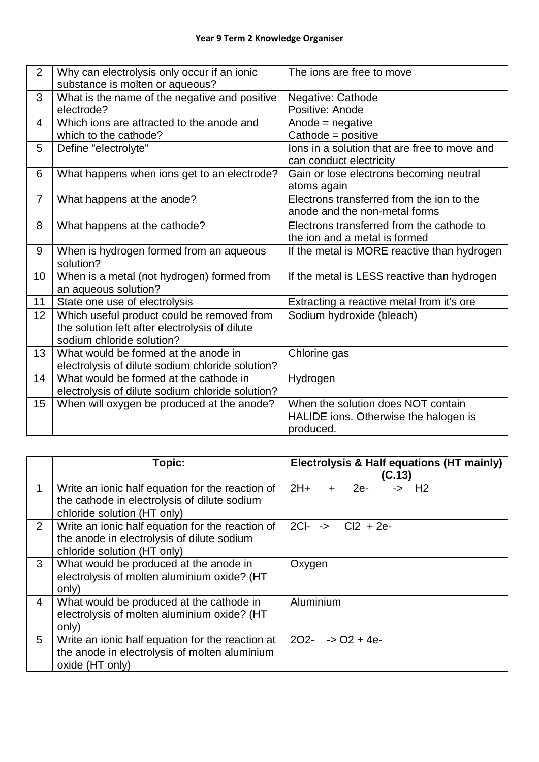| $\overline{2}$ | Why can electrolysis only occur if an ionic<br>substance is molten or aqueous?                                            | The jons are free to move                                                                |
|----------------|---------------------------------------------------------------------------------------------------------------------------|------------------------------------------------------------------------------------------|
| 3              | What is the name of the negative and positive<br>electrode?                                                               | Negative: Cathode<br>Positive: Anode                                                     |
| 4              | Which ions are attracted to the anode and<br>which to the cathode?                                                        | Anode = negative<br>Cathode = $positive$                                                 |
| 5              | Define "electrolyte"                                                                                                      | lons in a solution that are free to move and<br>can conduct electricity                  |
| 6              | What happens when ions get to an electrode?                                                                               | Gain or lose electrons becoming neutral<br>atoms again                                   |
| $\overline{7}$ | What happens at the anode?                                                                                                | Electrons transferred from the ion to the<br>anode and the non-metal forms               |
| 8              | What happens at the cathode?                                                                                              | Electrons transferred from the cathode to<br>the ion and a metal is formed               |
| 9              | When is hydrogen formed from an aqueous<br>solution?                                                                      | If the metal is MORE reactive than hydrogen                                              |
| 10             | When is a metal (not hydrogen) formed from<br>an aqueous solution?                                                        | If the metal is LESS reactive than hydrogen                                              |
| 11             | State one use of electrolysis                                                                                             | Extracting a reactive metal from it's ore                                                |
| 12             | Which useful product could be removed from<br>the solution left after electrolysis of dilute<br>sodium chloride solution? | Sodium hydroxide (bleach)                                                                |
| 13             | What would be formed at the anode in<br>electrolysis of dilute sodium chloride solution?                                  | Chlorine gas                                                                             |
| 14             | What would be formed at the cathode in<br>electrolysis of dilute sodium chloride solution?                                | Hydrogen                                                                                 |
| 15             | When will oxygen be produced at the anode?                                                                                | When the solution does NOT contain<br>HALIDE ions. Otherwise the halogen is<br>produced. |

|                | Topic:                                                                                                                          | Electrolysis & Half equations (HT mainly)<br>(C.13)     |
|----------------|---------------------------------------------------------------------------------------------------------------------------------|---------------------------------------------------------|
|                | Write an ionic half equation for the reaction of<br>the cathode in electrolysis of dilute sodium<br>chloride solution (HT only) | $2H+$<br>$\rightarrow$ H <sub>2</sub><br>$2e-$<br>$\pm$ |
| 2              | Write an ionic half equation for the reaction of<br>the anode in electrolysis of dilute sodium<br>chloride solution (HT only)   | $2C$ -<br>$\leftarrow$ Cl2 + 2e-                        |
| 3              | What would be produced at the anode in<br>electrolysis of molten aluminium oxide? (HT<br>only)                                  | Oxygen                                                  |
| $\overline{4}$ | What would be produced at the cathode in<br>electrolysis of molten aluminium oxide? (HT<br>only)                                | Aluminium                                               |
| 5              | Write an ionic half equation for the reaction at<br>the anode in electrolysis of molten aluminium<br>oxide (HT only)            | $2O2 - -5O2 + 4e$                                       |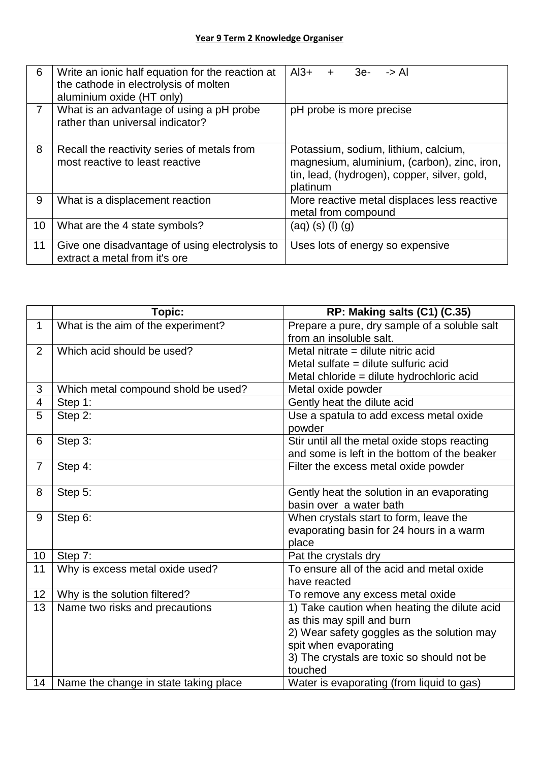| 6              | Write an ionic half equation for the reaction at<br>the cathode in electrolysis of molten<br>aluminium oxide (HT only) | $Al3+$<br>$3e-$<br>-> Al<br>$+$                                                                                                                 |
|----------------|------------------------------------------------------------------------------------------------------------------------|-------------------------------------------------------------------------------------------------------------------------------------------------|
| $\overline{7}$ | What is an advantage of using a pH probe<br>rather than universal indicator?                                           | pH probe is more precise                                                                                                                        |
| 8              | Recall the reactivity series of metals from<br>most reactive to least reactive                                         | Potassium, sodium, lithium, calcium,<br>magnesium, aluminium, (carbon), zinc, iron,<br>tin, lead, (hydrogen), copper, silver, gold,<br>platinum |
| 9              | What is a displacement reaction                                                                                        | More reactive metal displaces less reactive<br>metal from compound                                                                              |
| 10             | What are the 4 state symbols?                                                                                          | $(aq)$ (s) (l) $(g)$                                                                                                                            |
| 11             | Give one disadvantage of using electrolysis to<br>extract a metal from it's ore                                        | Uses lots of energy so expensive                                                                                                                |

|                | Topic:                                | RP: Making salts (C1) (C.35)                  |
|----------------|---------------------------------------|-----------------------------------------------|
| $\mathbf{1}$   | What is the aim of the experiment?    | Prepare a pure, dry sample of a soluble salt  |
|                |                                       | from an insoluble salt.                       |
| $\overline{2}$ | Which acid should be used?            | Metal nitrate = dilute nitric acid            |
|                |                                       | Metal sulfate = dilute sulfuric acid          |
|                |                                       | Metal chloride = dilute hydrochloric acid     |
| 3              | Which metal compound shold be used?   | Metal oxide powder                            |
| $\overline{4}$ | Step 1:                               | Gently heat the dilute acid                   |
| 5              | Step 2:                               | Use a spatula to add excess metal oxide       |
|                |                                       | powder                                        |
| 6              | Step 3:                               | Stir until all the metal oxide stops reacting |
|                |                                       | and some is left in the bottom of the beaker  |
| $\overline{7}$ | Step 4:                               | Filter the excess metal oxide powder          |
|                |                                       |                                               |
| 8              | Step 5:                               | Gently heat the solution in an evaporating    |
|                |                                       | basin over a water bath                       |
| 9              | Step 6:                               | When crystals start to form, leave the        |
|                |                                       | evaporating basin for 24 hours in a warm      |
|                |                                       | place                                         |
| 10             | Step 7:                               | Pat the crystals dry                          |
| 11             | Why is excess metal oxide used?       | To ensure all of the acid and metal oxide     |
|                |                                       | have reacted                                  |
| 12             | Why is the solution filtered?         | To remove any excess metal oxide              |
| 13             | Name two risks and precautions        | 1) Take caution when heating the dilute acid  |
|                |                                       | as this may spill and burn                    |
|                |                                       | 2) Wear safety goggles as the solution may    |
|                |                                       | spit when evaporating                         |
|                |                                       | 3) The crystals are toxic so should not be    |
|                |                                       | touched                                       |
| 14             | Name the change in state taking place | Water is evaporating (from liquid to gas)     |